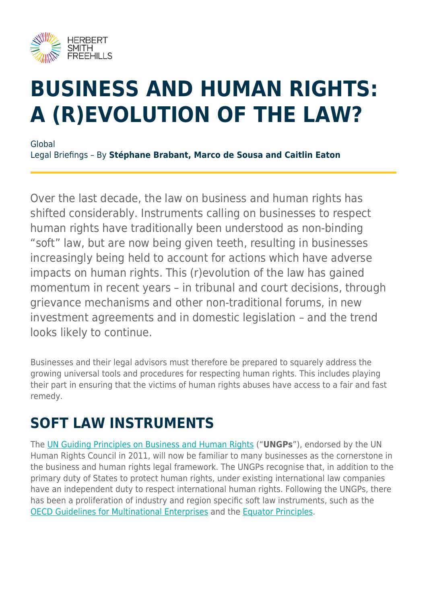

# **BUSINESS AND HUMAN RIGHTS: A (R)EVOLUTION OF THE LAW?**

Global Legal Briefings – By **Stéphane Brabant, Marco de Sousa and Caitlin Eaton**

Over the last decade, the law on business and human rights has shifted considerably. Instruments calling on businesses to respect human rights have traditionally been understood as non-binding "soft" law, but are now being given teeth, resulting in businesses increasingly being held to account for actions which have adverse impacts on human rights. This (r)evolution of the law has gained momentum in recent years – in tribunal and court decisions, through grievance mechanisms and other non-traditional forums, in new investment agreements and in domestic legislation – and the trend looks likely to continue.

Businesses and their legal advisors must therefore be prepared to squarely address the growing universal tools and procedures for respecting human rights. This includes playing their part in ensuring that the victims of human rights abuses have access to a fair and fast remedy.

### **SOFT LAW INSTRUMENTS**

The [UN Guiding Principles on Business and Human Rights](https://hsfnotes.com/arbitration/2011/07/06/un-human-rights-council-endorses-new-guiding-principles-on-business-and-international-human-rights/) ("**UNGPs**"), endorsed by the UN Human Rights Council in 2011, will now be familiar to many businesses as the cornerstone in the business and human rights legal framework. The UNGPs recognise that, in addition to the primary duty of States to protect human rights, under existing international law companies have an independent duty to respect international human rights. Following the UNGPs, there has been a proliferation of industry and region specific soft law instruments, such as the [OECD Guidelines for Multinational Enterprises](https://www.herbertsmithfreehills.com/latest-thinking/human-rights-complaints-against-multinationals-increasing) and the [Equator Principles](https://hsfnotes.com/environmentaustralia/2019/11/27/adoption-of-equator-principles-4/).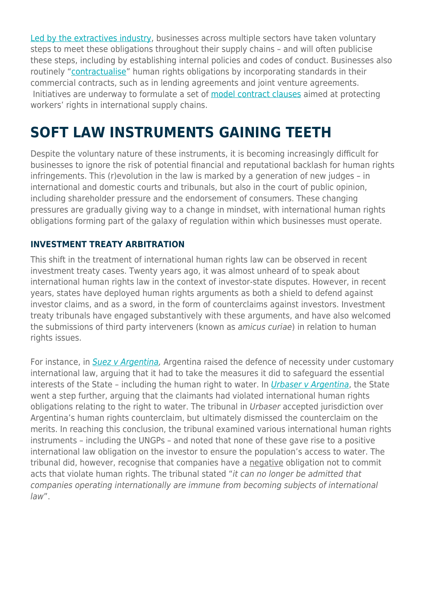[Led by the extractives industry](https://hsfnotes.com/africa/2019/06/10/promoting-human-rights-through-the-extractive-industry/), businesses across multiple sectors have taken voluntary steps to meet these obligations throughout their supply chains – and will often publicise these steps, including by establishing internal policies and codes of conduct. Businesses also routinely "[contractualise](https://www.herbertsmithfreehills.com/latest-thinking/setting-human-rights-standards-through-international-contracts)" human rights obligations by incorporating standards in their commercial contracts, such as in lending agreements and joint venture agreements. Initiatives are underway to formulate a set of [model contract clauses](https://www.americanbar.org/groups/human_rights/business-human-rights-initiative/contractual-clauses-project/) aimed at protecting workers' rights in international supply chains.

### **SOFT LAW INSTRUMENTS GAINING TEETH**

Despite the voluntary nature of these instruments, it is becoming increasingly difficult for businesses to ignore the risk of potential financial and reputational backlash for human rights infringements. This (r)evolution in the law is marked by a generation of new judges – in international and domestic courts and tribunals, but also in the court of public opinion, including shareholder pressure and the endorsement of consumers. These changing pressures are gradually giving way to a change in mindset, with international human rights obligations forming part of the galaxy of regulation within which businesses must operate.

#### **INVESTMENT TREATY ARBITRATION**

This shift in the treatment of international human rights law can be observed in recent investment treaty cases. Twenty years ago, it was almost unheard of to speak about international human rights law in the context of investor-state disputes. However, in recent years, states have deployed human rights arguments as both a shield to defend against investor claims, and as a sword, in the form of counterclaims against investors. Investment treaty tribunals have engaged substantively with these arguments, and have also welcomed the submissions of third party interveners (known as amicus curiae) in relation to human rights issues.

For instance, in [Suez v Argentina](https://www.italaw.com/sites/default/files/case-documents/ita0826.pdf), Argentina raised the defence of necessity under customary international law, arguing that it had to take the measures it did to safeguard the essential interests of the State - including the human right to water. In *[Urbaser v Argentina](https://hsfnotes.com/arbitration/2017/03/14/urbaser-v-argentina-and-burlington-v-ecuador-investment-arbitration-is-not-over-the-counterclaims-yet/)*, the State went a step further, arguing that the claimants had violated international human rights obligations relating to the right to water. The tribunal in Urbaser accepted jurisdiction over Argentina's human rights counterclaim, but ultimately dismissed the counterclaim on the merits. In reaching this conclusion, the tribunal examined various international human rights instruments – including the UNGPs – and noted that none of these gave rise to a positive international law obligation on the investor to ensure the population's access to water. The tribunal did, however, recognise that companies have a negative obligation not to commit acts that violate human rights. The tribunal stated "it can no longer be admitted that companies operating internationally are immune from becoming subjects of international law".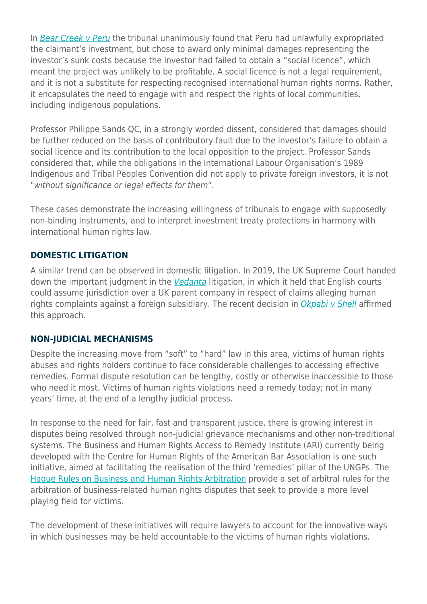In [Bear Creek v Peru](https://hsfnotes.com/arbitration/2018/01/26/bear-creek-mining-corp-v-peru-the-potential-impact-on-damages-of-an-investors-contributory-action-and-failure-to-obtain-a-social-license/) the tribunal unanimously found that Peru had unlawfully expropriated the claimant's investment, but chose to award only minimal damages representing the investor's sunk costs because the investor had failed to obtain a "social licence", which meant the project was unlikely to be profitable. A social licence is not a legal requirement, and it is not a substitute for respecting recognised international human rights norms. Rather, it encapsulates the need to engage with and respect the rights of local communities, including indigenous populations.

Professor Philippe Sands QC, in a strongly worded dissent, considered that damages should be further reduced on the basis of contributory fault due to the investor's failure to obtain a social licence and its contribution to the local opposition to the project. Professor Sands considered that, while the obligations in the International Labour Organisation's 1989 Indigenous and Tribal Peoples Convention did not apply to private foreign investors, it is not "without significance or legal effects for them".

These cases demonstrate the increasing willingness of tribunals to engage with supposedly non-binding instruments, and to interpret investment treaty protections in harmony with international human rights law.

#### **DOMESTIC LITIGATION**

A similar trend can be observed in domestic litigation. In 2019, the UK Supreme Court handed down the important judgment in the [Vedanta](https://www.supremecourt.uk/cases/docs/uksc-2017-0185-judgment.pdf) litigation, in which it held that English courts could assume jurisdiction over a UK parent company in respect of claims alleging human rights complaints against a foreign subsidiary. The recent decision in [Okpabi v Shell](https://hsfnotes.com/litigation/2021/02/15/okpabi-v-shell-supreme-court-allows-appeal-in-jurisdictional-challenge-relating-to-parent-company-duty-of-care/) affirmed this approach.

#### **NON-JUDICIAL MECHANISMS**

Despite the increasing move from "soft" to "hard" law in this area, victims of human rights abuses and rights holders continue to face considerable challenges to accessing effective remedies. Formal dispute resolution can be lengthy, costly or otherwise inaccessible to those who need it most. Victims of human rights violations need a remedy today; not in many years' time, at the end of a lengthy judicial process.

In response to the need for fair, fast and transparent justice, there is growing interest in disputes being resolved through non-judicial grievance mechanisms and other non-traditional systems. The Business and Human Rights Access to Remedy Institute (ARI) currently being developed with the Centre for Human Rights of the American Bar Association is one such initiative, aimed at facilitating the realisation of the third 'remedies' pillar of the UNGPs. The [Hague Rules on Business and Human Rights Arbitration](https://www.cilc.nl/cms/wp-content/uploads/2019/12/The-Hague-Rules-on-Business-and-Human-Rights-Arbitration_CILC-digital-version.pdf) provide a set of arbitral rules for the arbitration of business-related human rights disputes that seek to provide a more level playing field for victims.

The development of these initiatives will require lawyers to account for the innovative ways in which businesses may be held accountable to the victims of human rights violations.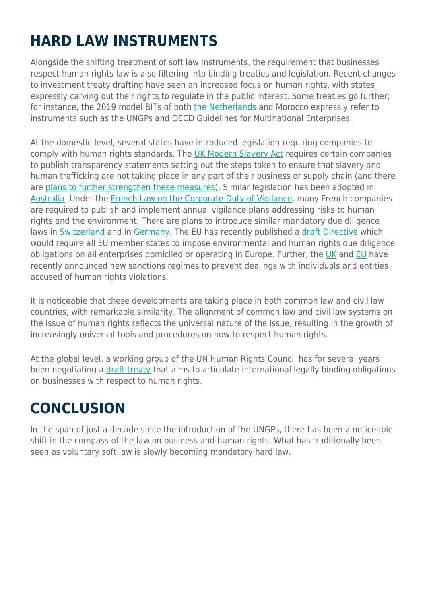# **HARD LAW INSTRUMENTS**

Alongside the shifting treatment of soft law instruments, the requirement that businesses respect human rights law is also filtering into binding treaties and legislation. Recent changes to investment treaty drafting have seen an increased focus on human rights, with states expressly carving out their rights to regulate in the public interest. Some treaties go further; for instance, the 2019 model BITs of both [the Netherlands](https://hsfnotes.com/arbitration/2019/05/01/final-dutch-model-bit-published-potential-for-claims-against-investors-and-link-between-gender-equality-and-investment/) and Morocco expressly refer to instruments such as the UNGPs and OECD Guidelines for Multinational Enterprises.

At the domestic level, several states have introduced legislation requiring companies to comply with human rights standards. The [UK Modern Slavery Act](https://www.herbertsmithfreehills.com/latest-thinking/the-uk-modern-slavery-act-one-year-on) requires certain companies to publish transparency statements setting out the steps taken to ensure that slavery and human trafficking are not taking place in any part of their business or supply chain (and there are [plans to further strengthen these measures\)](https://www.herbertsmithfreehills.com/latest-thinking/uk-government-plans-to-strengthen-modern-slavery-act-2015-reporting-requirements). Similar legislation has been adopted in [Australia](https://www.herbertsmithfreehills.com/latest-thinking/modern-slavery-%E2%80%93-update-on-nsw-regime). Under the [French Law on the Corporate Duty of Vigilance](https://www.herbertsmithfreehills.com/latest-thinking/frances-corporate-duty-of-vigilance-law-current-issues-and-preparing-for-the-future), many French companies are required to publish and implement annual vigilance plans addressing risks to human rights and the environment. There are plans to introduce similar mandatory due diligence laws in [Switzerland](https://www.herbertsmithfreehills.com/latest-thinking/switzerland-to-hold-referendum-on-proposed-human-rights-due-diligence-law) and in [Germany.](https://www.herbertsmithfreehills.com/latest-thinking/mandatory-human-rights-and-esg-due-diligence-in-europe-%E2%80%93-a-race-to-the-top) The EU has recently published a [draft Directive](https://www.herbertsmithfreehills.com/latest-thinking/mandatory-human-rights-and-esg-due-diligence-in-europe-%E2%80%93-a-race-to-the-top) which would require all EU member states to impose environmental and human rights due diligence obligations on all enterprises domiciled or operating in Europe. Further, the [UK](https://www.herbertsmithfreehills.com/latest-thinking/uk-autonomous-sanctions-underline-importance-of-human-rights-due-diligence) and [EU](https://www.herbertsmithfreehills.com/latest-thinking/eu-introduces-global-human-rights-sanctions-regime) have recently announced new sanctions regimes to prevent dealings with individuals and entities accused of human rights violations.

It is noticeable that these developments are taking place in both common law and civil law countries, with remarkable similarity. The alignment of common law and civil law systems on the issue of human rights reflects the universal nature of the issue, resulting in the growth of increasingly universal tools and procedures on how to respect human rights.

At the global level, a working group of the UN Human Rights Council has for several years been negotiating a [draft treaty](https://hsfnotes.com/arbitration/2014/07/04/towards-a-treaty-on-business-and-human-rights/) that aims to articulate international legally binding obligations on businesses with respect to human rights.

# **CONCLUSION**

In the span of just a decade since the introduction of the UNGPs, there has been a noticeable shift in the compass of the law on business and human rights. What has traditionally been seen as voluntary soft law is slowly becoming mandatory hard law.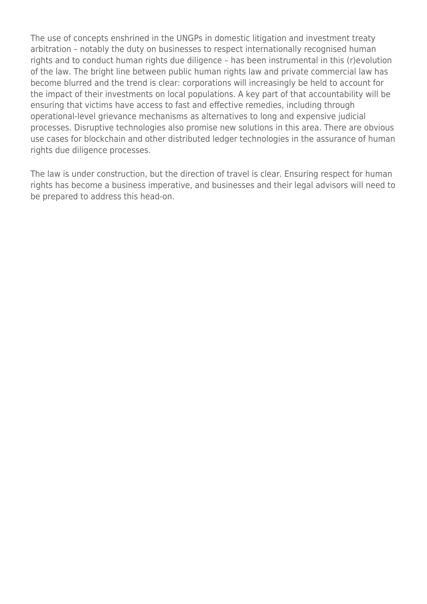The use of concepts enshrined in the UNGPs in domestic litigation and investment treaty arbitration – notably the duty on businesses to respect internationally recognised human rights and to conduct human rights due diligence – has been instrumental in this (r)evolution of the law. The bright line between public human rights law and private commercial law has become blurred and the trend is clear: corporations will increasingly be held to account for the impact of their investments on local populations. A key part of that accountability will be ensuring that victims have access to fast and effective remedies, including through operational-level grievance mechanisms as alternatives to long and expensive judicial processes. Disruptive technologies also promise new solutions in this area. There are obvious use cases for blockchain and other distributed ledger technologies in the assurance of human rights due diligence processes.

The law is under construction, but the direction of travel is clear. Ensuring respect for human rights has become a business imperative, and businesses and their legal advisors will need to be prepared to address this head-on.